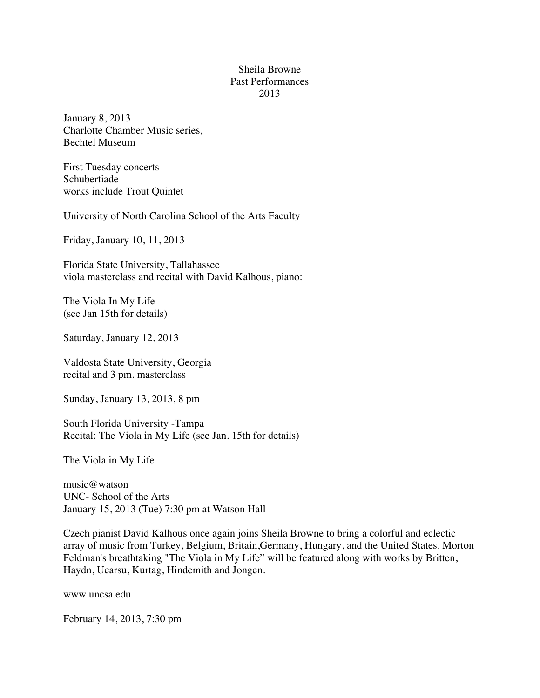## Sheila Browne Past Performances 2013

January 8, 2013 Charlotte Chamber Music series, Bechtel Museum

First Tuesday concerts Schubertiade works include Trout Quintet

University of North Carolina School of the Arts Faculty

Friday, January 10, 11, 2013

Florida State University, Tallahassee viola masterclass and recital with David Kalhous, piano:

The Viola In My Life (see Jan 15th for details)

Saturday, January 12, 2013

Valdosta State University, Georgia recital and 3 pm. masterclass

Sunday, January 13, 2013, 8 pm

South Florida University -Tampa Recital: The Viola in My Life (see Jan. 15th for details)

The Viola in My Life

music@watson UNC- School of the Arts January 15, 2013 (Tue) 7:30 pm at Watson Hall

Czech pianist David Kalhous once again joins Sheila Browne to bring a colorful and eclectic array of music from Turkey, Belgium, Britain,Germany, Hungary, and the United States. Morton Feldman's breathtaking "The Viola in My Life" will be featured along with works by Britten, Haydn, Ucarsu, Kurtag, Hindemith and Jongen.

www.uncsa.edu

February 14, 2013, 7:30 pm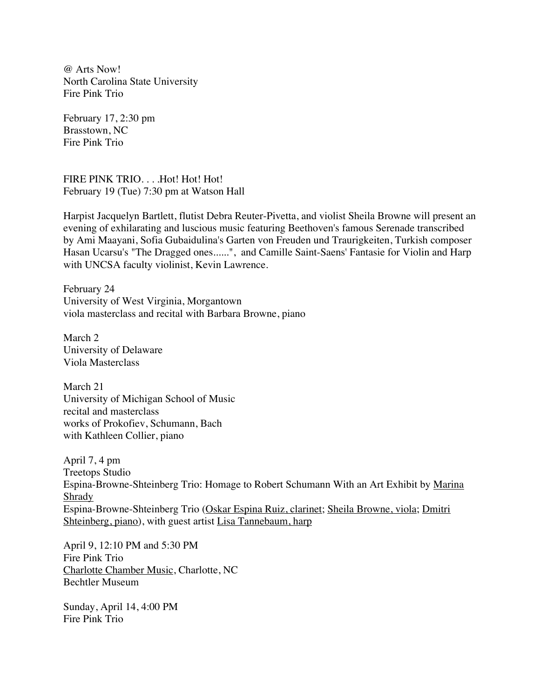@ Arts Now! North Carolina State University Fire Pink Trio

February 17, 2:30 pm Brasstown, NC Fire Pink Trio

FIRE PINK TRIO. . . . Hot! Hot! Hot! February 19 (Tue) 7:30 pm at Watson Hall

Harpist Jacquelyn Bartlett, flutist Debra Reuter-Pivetta, and violist Sheila Browne will present an evening of exhilarating and luscious music featuring Beethoven's famous Serenade transcribed by Ami Maayani, Sofia Gubaidulina's Garten von Freuden und Traurigkeiten, Turkish composer Hasan Ucarsu's "The Dragged ones......", and Camille Saint-Saens' Fantasie for Violin and Harp with UNCSA faculty violinist, Kevin Lawrence.

February 24 University of West Virginia, Morgantown viola masterclass and recital with Barbara Browne, piano

March<sub>2</sub> University of Delaware Viola Masterclass

March 21 University of Michigan School of Music recital and masterclass works of Prokofiev, Schumann, Bach with Kathleen Collier, piano

April 7, 4 pm Treetops Studio Espina-Browne-Shteinberg Trio: Homage to Robert Schumann With an Art Exhibit by Marina Shrady Espina-Browne-Shteinberg Trio (Oskar Espina Ruiz, clarinet; Sheila Browne, viola; Dmitri Shteinberg, piano), with guest artist Lisa Tannebaum, harp

April 9, 12:10 PM and 5:30 PM Fire Pink Trio Charlotte Chamber Music, Charlotte, NC Bechtler Museum

Sunday, April 14, 4:00 PM Fire Pink Trio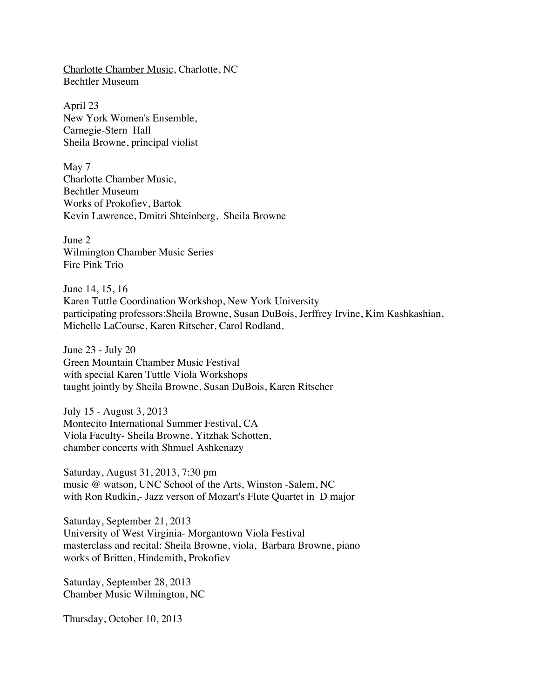Charlotte Chamber Music, Charlotte, NC Bechtler Museum

April 23 New York Women's Ensemble, Carnegie-Stern Hall Sheila Browne, principal violist

May 7 Charlotte Chamber Music, Bechtler Museum Works of Prokofiev, Bartok Kevin Lawrence, Dmitri Shteinberg, Sheila Browne

June 2 Wilmington Chamber Music Series Fire Pink Trio

June 14, 15, 16 Karen Tuttle Coordination Workshop, New York University participating professors:Sheila Browne, Susan DuBois, Jerffrey Irvine, Kim Kashkashian, Michelle LaCourse, Karen Ritscher, Carol Rodland.

June 23 - July 20 Green Mountain Chamber Music Festival with special Karen Tuttle Viola Workshops taught jointly by Sheila Browne, Susan DuBois, Karen Ritscher

July 15 - August 3, 2013 Montecito International Summer Festival, CA Viola Faculty- Sheila Browne, Yitzhak Schotten, chamber concerts with Shmuel Ashkenazy

Saturday, August 31, 2013, 7:30 pm music @ watson, UNC School of the Arts, Winston -Salem, NC with Ron Rudkin,- Jazz verson of Mozart's Flute Quartet in D major

Saturday, September 21, 2013 University of West Virginia- Morgantown Viola Festival masterclass and recital: Sheila Browne, viola, Barbara Browne, piano works of Britten, Hindemith, Prokofiev

Saturday, September 28, 2013 Chamber Music Wilmington, NC

Thursday, October 10, 2013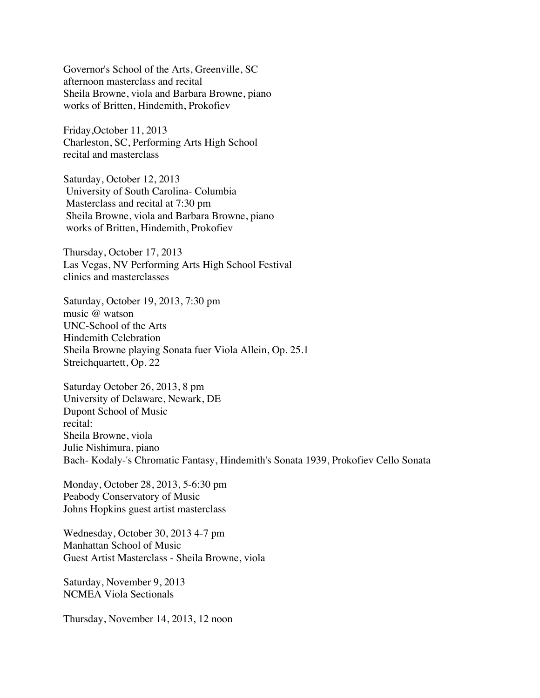Governor's School of the Arts, Greenville, SC afternoon masterclass and recital Sheila Browne, viola and Barbara Browne, piano works of Britten, Hindemith, Prokofiev

Friday,October 11, 2013 Charleston, SC, Performing Arts High School recital and masterclass

Saturday, October 12, 2013 University of South Carolina- Columbia Masterclass and recital at 7:30 pm Sheila Browne, viola and Barbara Browne, piano works of Britten, Hindemith, Prokofiev

Thursday, October 17, 2013 Las Vegas, NV Performing Arts High School Festival clinics and masterclasses

Saturday, October 19, 2013, 7:30 pm music @ watson UNC-School of the Arts Hindemith Celebration Sheila Browne playing Sonata fuer Viola Allein, Op. 25.1 Streichquartett, Op. 22

Saturday October 26, 2013, 8 pm University of Delaware, Newark, DE Dupont School of Music recital: Sheila Browne, viola Julie Nishimura, piano Bach- Kodaly-'s Chromatic Fantasy, Hindemith's Sonata 1939, Prokofiev Cello Sonata

Monday, October 28, 2013, 5-6:30 pm Peabody Conservatory of Music Johns Hopkins guest artist masterclass

Wednesday, October 30, 2013 4-7 pm Manhattan School of Music Guest Artist Masterclass - Sheila Browne, viola

Saturday, November 9, 2013 NCMEA Viola Sectionals

Thursday, November 14, 2013, 12 noon